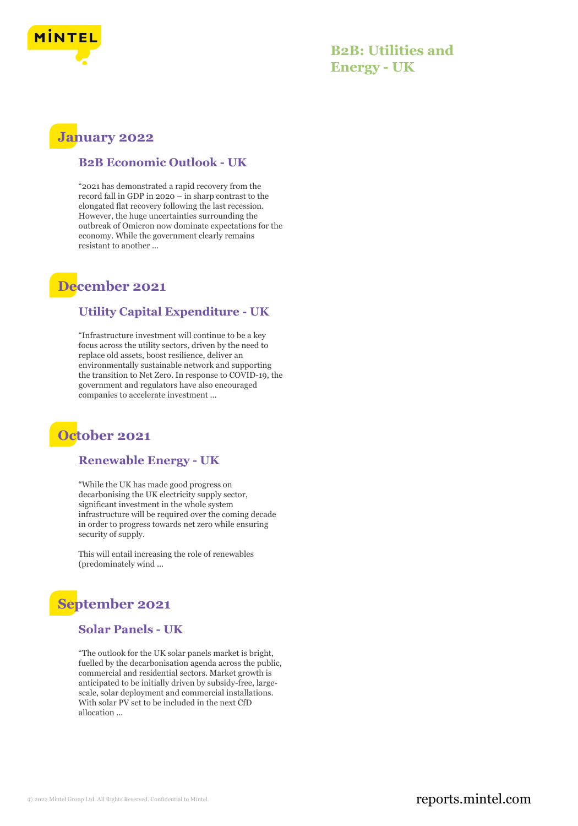

### **January 2022**

#### **B2B Economic Outlook - UK**

"2021 has demonstrated a rapid recovery from the record fall in GDP in 2020 – in sharp contrast to the elongated flat recovery following the last recession. However, the huge uncertainties surrounding the outbreak of Omicron now dominate expectations for the economy. While the government clearly remains resistant to another ...

### **December 2021**

### **Utility Capital Expenditure - UK**

"Infrastructure investment will continue to be a key focus across the utility sectors, driven by the need to replace old assets, boost resilience, deliver an environmentally sustainable network and supporting the transition to Net Zero. In response to COVID-19, the government and regulators have also encouraged companies to accelerate investment ...

### **October 2021**

#### **Renewable Energy - UK**

"While the UK has made good progress on decarbonising the UK electricity supply sector, significant investment in the whole system infrastructure will be required over the coming decade in order to progress towards net zero while ensuring security of supply.

This will entail increasing the role of renewables (predominately wind ...

# **September 2021**

#### **Solar Panels - UK**

"The outlook for the UK solar panels market is bright, fuelled by the decarbonisation agenda across the public, commercial and residential sectors. Market growth is anticipated to be initially driven by subsidy-free, largescale, solar deployment and commercial installations. With solar PV set to be included in the next CfD allocation ...